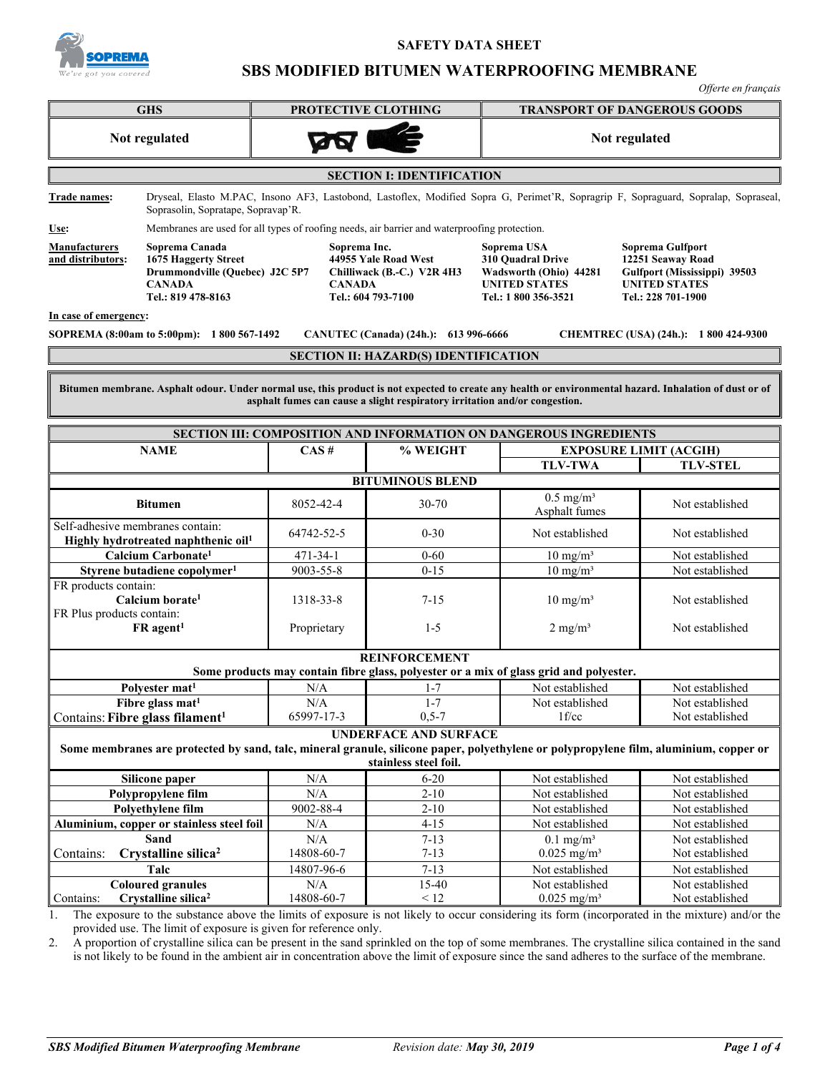

# **SAFETY DATA SHEET**

# **SBS MODIFIED BITUMEN WATERPROOFING MEMBRANE**

*Offerte en français*

| Offerte en français                                                                                                                                                                                                                  |                                                                                                                 |                               |                                                                          |                                                                                                            |                                                                                                                                     |  |
|--------------------------------------------------------------------------------------------------------------------------------------------------------------------------------------------------------------------------------------|-----------------------------------------------------------------------------------------------------------------|-------------------------------|--------------------------------------------------------------------------|------------------------------------------------------------------------------------------------------------|-------------------------------------------------------------------------------------------------------------------------------------|--|
| <b>GHS</b>                                                                                                                                                                                                                           |                                                                                                                 | PROTECTIVE CLOTHING           |                                                                          | <b>TRANSPORT OF DANGEROUS GOODS</b>                                                                        |                                                                                                                                     |  |
| Not regulated                                                                                                                                                                                                                        |                                                                                                                 | <b>BA</b>                     |                                                                          | Not regulated                                                                                              |                                                                                                                                     |  |
|                                                                                                                                                                                                                                      |                                                                                                                 |                               | <b>SECTION I: IDENTIFICATION</b>                                         |                                                                                                            |                                                                                                                                     |  |
| Trade names:                                                                                                                                                                                                                         | Soprasolin, Sopratape, Sopravap'R.                                                                              |                               |                                                                          |                                                                                                            | Dryseal, Elasto M.PAC, Insono AF3, Lastobond, Lastoflex, Modified Sopra G, Perimet'R, Sopragrip F, Sopraguard, Sopralap, Sopraseal, |  |
| Use:                                                                                                                                                                                                                                 | Membranes are used for all types of roofing needs, air barrier and waterproofing protection.                    |                               |                                                                          |                                                                                                            |                                                                                                                                     |  |
| <b>Manufacturers</b><br>and distributors:                                                                                                                                                                                            | Soprema Canada<br>1675 Haggerty Street<br>Drummondville (Quebec) J2C 5P7<br><b>CANADA</b><br>Tel.: 819 478-8163 | Soprema Inc.<br><b>CANADA</b> | 44955 Yale Road West<br>Chilliwack (B.-C.) V2R 4H3<br>Tel.: 604 793-7100 | Soprema USA<br>310 Ouadral Drive<br>Wadsworth (Ohio) 44281<br><b>UNITED STATES</b><br>Tel.: 1 800 356-3521 | Soprema Gulfport<br>12251 Seaway Road<br>Gulfport (Mississippi) 39503<br><b>UNITED STATES</b><br>Tel.: 228 701-1900                 |  |
| In case of emergency:                                                                                                                                                                                                                |                                                                                                                 |                               |                                                                          |                                                                                                            |                                                                                                                                     |  |
|                                                                                                                                                                                                                                      | SOPREMA (8:00am to 5:00pm): 1 800 567-1492                                                                      |                               | CANUTEC (Canada) (24h.): 613 996-6666                                    |                                                                                                            | CHEMTREC (USA) (24h.): 1 800 424-9300                                                                                               |  |
|                                                                                                                                                                                                                                      |                                                                                                                 |                               | <b>SECTION II: HAZARD(S) IDENTIFICATION</b>                              |                                                                                                            |                                                                                                                                     |  |
|                                                                                                                                                                                                                                      |                                                                                                                 |                               |                                                                          |                                                                                                            |                                                                                                                                     |  |
| Bitumen membrane. Asphalt odour. Under normal use, this product is not expected to create any health or environmental hazard. Inhalation of dust or of<br>asphalt fumes can cause a slight respiratory irritation and/or congestion. |                                                                                                                 |                               |                                                                          |                                                                                                            |                                                                                                                                     |  |
|                                                                                                                                                                                                                                      |                                                                                                                 |                               |                                                                          | <b>SECTION III: COMPOSITION AND INFORMATION ON DANGEROUS INGREDIENTS</b>                                   |                                                                                                                                     |  |
|                                                                                                                                                                                                                                      | <b>NAME</b>                                                                                                     | CAS#                          | % WEIGHT                                                                 |                                                                                                            | <b>EXPOSURE LIMIT (ACGIH)</b>                                                                                                       |  |
|                                                                                                                                                                                                                                      |                                                                                                                 |                               |                                                                          | <b>TLV-TWA</b>                                                                                             | <b>TLV-STEL</b>                                                                                                                     |  |
|                                                                                                                                                                                                                                      |                                                                                                                 |                               | <b>BITUMINOUS BLEND</b>                                                  |                                                                                                            |                                                                                                                                     |  |
|                                                                                                                                                                                                                                      | <b>Bitumen</b>                                                                                                  | 8052-42-4                     | 30-70                                                                    | $0.5$ mg/m <sup>3</sup><br>Asphalt fumes                                                                   | Not established                                                                                                                     |  |
| Self-adhesive membranes contain:<br>Highly hydrotreated naphthenic oil <sup>1</sup>                                                                                                                                                  |                                                                                                                 | 64742-52-5                    | $0 - 30$                                                                 | Not established                                                                                            | Not established                                                                                                                     |  |
| Calcium Carbonate <sup>1</sup>                                                                                                                                                                                                       |                                                                                                                 | 471-34-1                      | $0 - 60$                                                                 | $10 \text{ mg/m}^3$                                                                                        | Not established                                                                                                                     |  |
|                                                                                                                                                                                                                                      | Styrene butadiene copolymer <sup>1</sup>                                                                        | 9003-55-8                     | $0 - 15$                                                                 | $10 \text{ mg/m}^3$                                                                                        | Not established                                                                                                                     |  |
| FR products contain:<br>FR Plus products contain:                                                                                                                                                                                    | Calcium borate <sup>1</sup><br>$FR$ agent <sup>1</sup>                                                          | 1318-33-8<br>Proprietary      | $7 - 15$<br>$1 - 5$                                                      | $10 \text{ mg/m}^3$<br>$2$ mg/m <sup>3</sup>                                                               | Not established<br>Not established                                                                                                  |  |
|                                                                                                                                                                                                                                      |                                                                                                                 |                               | <b>REINFORCEMENT</b>                                                     |                                                                                                            |                                                                                                                                     |  |
|                                                                                                                                                                                                                                      |                                                                                                                 |                               |                                                                          | Some products may contain fibre glass, polyester or a mix of glass grid and polyester.                     |                                                                                                                                     |  |
|                                                                                                                                                                                                                                      | Polvester mat <sup>1</sup>                                                                                      | N/A                           | $1 - 7$                                                                  | Not established                                                                                            | Not established                                                                                                                     |  |
|                                                                                                                                                                                                                                      | Fibre glass mat <sup>1</sup>                                                                                    | N/A                           | $1 - 7$                                                                  | Not established                                                                                            | Not established                                                                                                                     |  |
|                                                                                                                                                                                                                                      | Contains: Fibre glass filament <sup>1</sup>                                                                     | 65997-17-3                    | $0, 5 - 7$                                                               | 1 f/cc                                                                                                     | Not established                                                                                                                     |  |
| <b>UNDERFACE AND SURFACE</b><br>Some membranes are protected by sand, talc, mineral granule, silicone paper, polyethylene or polypropylene film, aluminium, copper or<br>stainless steel foil.                                       |                                                                                                                 |                               |                                                                          |                                                                                                            |                                                                                                                                     |  |
|                                                                                                                                                                                                                                      | Silicone paper                                                                                                  | N/A                           | $6 - 20$                                                                 | Not established                                                                                            | Not established                                                                                                                     |  |
|                                                                                                                                                                                                                                      | Polypropylene film                                                                                              | $\rm N/A$                     | $2 - 10$                                                                 | Not established                                                                                            | Not established                                                                                                                     |  |
| Polyethylene film                                                                                                                                                                                                                    |                                                                                                                 | 9002-88-4                     | $2 - 10$                                                                 | Not established                                                                                            | Not established                                                                                                                     |  |
|                                                                                                                                                                                                                                      | Aluminium, copper or stainless steel foil                                                                       | $\rm N/A$                     | $4 - 15$                                                                 | Not established                                                                                            | Not established                                                                                                                     |  |
|                                                                                                                                                                                                                                      | Sand<br>Crystalline silica <sup>2</sup>                                                                         | N/A<br>14808-60-7             | $7 - 13$<br>$7 - 13$                                                     | $0.1$ mg/m <sup>3</sup><br>$0.025$ mg/m <sup>3</sup>                                                       | Not established<br>Not established                                                                                                  |  |
| Contains:                                                                                                                                                                                                                            | Talc                                                                                                            | 14807-96-6                    | $7 - 13$                                                                 | Not established                                                                                            | Not established                                                                                                                     |  |
|                                                                                                                                                                                                                                      | <b>Coloured granules</b>                                                                                        | N/A                           | 15-40                                                                    | Not established                                                                                            | Not established                                                                                                                     |  |
| Contains:                                                                                                                                                                                                                            | Crystalline silica <sup>2</sup>                                                                                 | 14808-60-7                    | $\leq 12$                                                                | $0.025$ mg/m <sup>3</sup>                                                                                  | Not established                                                                                                                     |  |

1. The exposure to the substance above the limits of exposure is not likely to occur considering its form (incorporated in the mixture) and/or the provided use. The limit of exposure is given for reference only.

2. A proportion of crystalline silica can be present in the sand sprinkled on the top of some membranes. The crystalline silica contained in the sand is not likely to be found in the ambient air in concentration above the limit of exposure since the sand adheres to the surface of the membrane.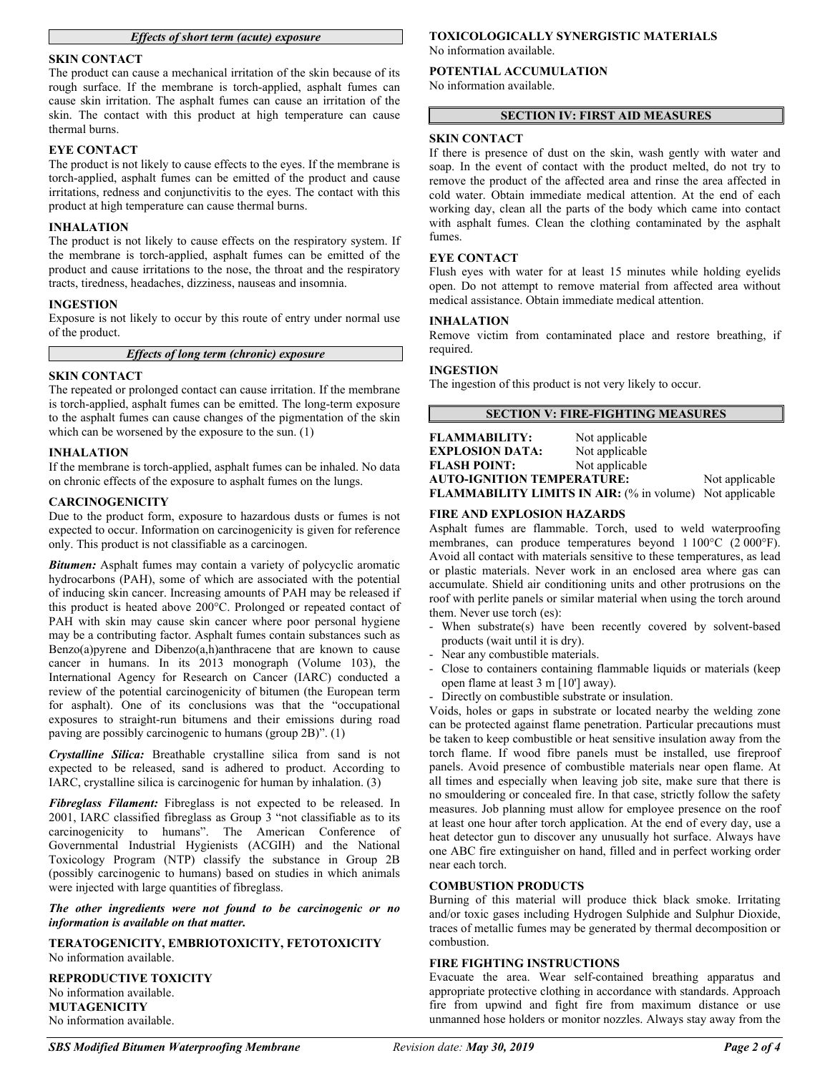# *Effects of short term (acute) exposure*

# **SKIN CONTACT**

The product can cause a mechanical irritation of the skin because of its rough surface. If the membrane is torch-applied, asphalt fumes can cause skin irritation. The asphalt fumes can cause an irritation of the skin. The contact with this product at high temperature can cause thermal burns.

# **EYE CONTACT**

The product is not likely to cause effects to the eyes. If the membrane is torch-applied, asphalt fumes can be emitted of the product and cause irritations, redness and conjunctivitis to the eyes. The contact with this product at high temperature can cause thermal burns.

#### **INHALATION**

The product is not likely to cause effects on the respiratory system. If the membrane is torch-applied, asphalt fumes can be emitted of the product and cause irritations to the nose, the throat and the respiratory tracts, tiredness, headaches, dizziness, nauseas and insomnia.

# **INGESTION**

Exposure is not likely to occur by this route of entry under normal use of the product.

*Effects of long term (chronic) exposure*

# **SKIN CONTACT**

The repeated or prolonged contact can cause irritation. If the membrane is torch-applied, asphalt fumes can be emitted. The long-term exposure to the asphalt fumes can cause changes of the pigmentation of the skin which can be worsened by the exposure to the sun. (1)

#### **INHALATION**

If the membrane is torch-applied, asphalt fumes can be inhaled. No data on chronic effects of the exposure to asphalt fumes on the lungs.

#### **CARCINOGENICITY**

Due to the product form, exposure to hazardous dusts or fumes is not expected to occur. Information on carcinogenicity is given for reference only. This product is not classifiable as a carcinogen.

*Bitumen:* Asphalt fumes may contain a variety of polycyclic aromatic hydrocarbons (PAH), some of which are associated with the potential of inducing skin cancer. Increasing amounts of PAH may be released if this product is heated above 200°C. Prolonged or repeated contact of PAH with skin may cause skin cancer where poor personal hygiene may be a contributing factor. Asphalt fumes contain substances such as Benzo(a)pyrene and Dibenzo(a,h)anthracene that are known to cause cancer in humans. In its 2013 monograph (Volume 103), the International Agency for Research on Cancer (IARC) conducted a review of the potential carcinogenicity of bitumen (the European term for asphalt). One of its conclusions was that the "occupational exposures to straight-run bitumens and their emissions during road paving are possibly carcinogenic to humans (group 2B)". (1)

*Crystalline Silica:* Breathable crystalline silica from sand is not expected to be released, sand is adhered to product. According to IARC, crystalline silica is carcinogenic for human by inhalation. (3)

*Fibreglass Filament:* Fibreglass is not expected to be released. In 2001, IARC classified fibreglass as Group 3 "not classifiable as to its carcinogenicity to humans". The American Conference of Governmental Industrial Hygienists (ACGIH) and the National Toxicology Program (NTP) classify the substance in Group 2B (possibly carcinogenic to humans) based on studies in which animals were injected with large quantities of fibreglass.

*The other ingredients were not found to be carcinogenic or no information is available on that matter.*

**TERATOGENICITY, EMBRIOTOXICITY, FETOTOXICITY** No information available.

**REPRODUCTIVE TOXICITY** No information available. **MUTAGENICITY** No information available.

# **TOXICOLOGICALLY SYNERGISTIC MATERIALS**

No information available.

#### **POTENTIAL ACCUMULATION** No information available.

### **SECTION IV: FIRST AID MEASURES**

#### **SKIN CONTACT**

If there is presence of dust on the skin, wash gently with water and soap. In the event of contact with the product melted, do not try to remove the product of the affected area and rinse the area affected in cold water. Obtain immediate medical attention. At the end of each working day, clean all the parts of the body which came into contact with asphalt fumes. Clean the clothing contaminated by the asphalt fumes.

#### **EYE CONTACT**

Flush eyes with water for at least 15 minutes while holding eyelids open. Do not attempt to remove material from affected area without medical assistance. Obtain immediate medical attention.

#### **INHALATION**

Remove victim from contaminated place and restore breathing, if required.

#### **INGESTION**

The ingestion of this product is not very likely to occur.

#### **SECTION V: FIRE-FIGHTING MEASURES**

| <b>FLAMMABILITY:</b>                                            | Not applicable |  |
|-----------------------------------------------------------------|----------------|--|
| <b>EXPLOSION DATA:</b>                                          | Not applicable |  |
| <b>FLASH POINT:</b>                                             | Not applicable |  |
| <b>AUTO-IGNITION TEMPERATURE:</b>                               | Not applicable |  |
| <b>FLAMMABILITY LIMITS IN AIR:</b> (% in volume) Not applicable |                |  |

#### **FIRE AND EXPLOSION HAZARDS**

Asphalt fumes are flammable. Torch, used to weld waterproofing membranes, can produce temperatures beyond 1 100°C (2 000°F). Avoid all contact with materials sensitive to these temperatures, as lead or plastic materials. Never work in an enclosed area where gas can accumulate. Shield air conditioning units and other protrusions on the roof with perlite panels or similar material when using the torch around them. Never use torch (es):

- When substrate(s) have been recently covered by solvent-based products (wait until it is dry).
- Near any combustible materials.
- Close to containers containing flammable liquids or materials (keep open flame at least 3 m [10'] away).
- Directly on combustible substrate or insulation.

Voids, holes or gaps in substrate or located nearby the welding zone can be protected against flame penetration. Particular precautions must be taken to keep combustible or heat sensitive insulation away from the torch flame. If wood fibre panels must be installed, use fireproof panels. Avoid presence of combustible materials near open flame. At all times and especially when leaving job site, make sure that there is no smouldering or concealed fire. In that case, strictly follow the safety measures. Job planning must allow for employee presence on the roof at least one hour after torch application. At the end of every day, use a heat detector gun to discover any unusually hot surface. Always have one ABC fire extinguisher on hand, filled and in perfect working order near each torch.

#### **COMBUSTION PRODUCTS**

Burning of this material will produce thick black smoke. Irritating and/or toxic gases including Hydrogen Sulphide and Sulphur Dioxide, traces of metallic fumes may be generated by thermal decomposition or combustion.

# **FIRE FIGHTING INSTRUCTIONS**

Evacuate the area. Wear self-contained breathing apparatus and appropriate protective clothing in accordance with standards. Approach fire from upwind and fight fire from maximum distance or use unmanned hose holders or monitor nozzles. Always stay away from the

*SBS Modified Bitumen Waterproofing Membrane Revision date: May 30, 2019 Page 2 of 4*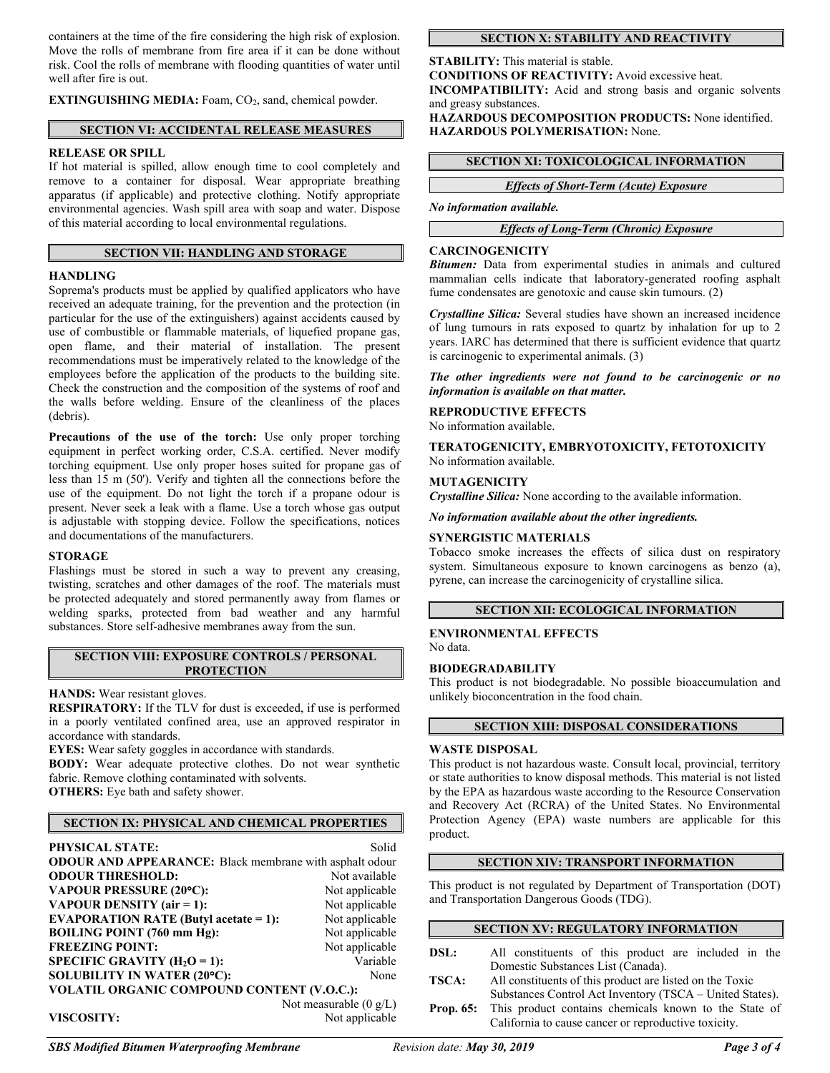containers at the time of the fire considering the high risk of explosion. Move the rolls of membrane from fire area if it can be done without risk. Cool the rolls of membrane with flooding quantities of water until well after fire is out.

**EXTINGUISHING MEDIA:** Foam, CO<sub>2</sub>, sand, chemical powder.

# **SECTION VI: ACCIDENTAL RELEASE MEASURES**

# **RELEASE OR SPILL**

If hot material is spilled, allow enough time to cool completely and remove to a container for disposal. Wear appropriate breathing apparatus (if applicable) and protective clothing. Notify appropriate environmental agencies. Wash spill area with soap and water. Dispose of this material according to local environmental regulations.

# **SECTION VII: HANDLING AND STORAGE**

# **HANDLING**

Soprema's products must be applied by qualified applicators who have received an adequate training, for the prevention and the protection (in particular for the use of the extinguishers) against accidents caused by use of combustible or flammable materials, of liquefied propane gas, open flame, and their material of installation. The present recommendations must be imperatively related to the knowledge of the employees before the application of the products to the building site. Check the construction and the composition of the systems of roof and the walls before welding. Ensure of the cleanliness of the places (debris).

**Precautions of the use of the torch:** Use only proper torching equipment in perfect working order, C.S.A. certified. Never modify torching equipment. Use only proper hoses suited for propane gas of less than 15 m (50'). Verify and tighten all the connections before the use of the equipment. Do not light the torch if a propane odour is present. Never seek a leak with a flame. Use a torch whose gas output is adjustable with stopping device. Follow the specifications, notices and documentations of the manufacturers.

#### **STORAGE**

Flashings must be stored in such a way to prevent any creasing, twisting, scratches and other damages of the roof. The materials must be protected adequately and stored permanently away from flames or welding sparks, protected from bad weather and any harmful substances. Store self-adhesive membranes away from the sun.

# **SECTION VIII: EXPOSURE CONTROLS / PERSONAL PROTECTION**

**HANDS:** Wear resistant gloves.

**RESPIRATORY:** If the TLV for dust is exceeded, if use is performed in a poorly ventilated confined area, use an approved respirator in accordance with standards.

**EYES:** Wear safety goggles in accordance with standards.

**BODY:** Wear adequate protective clothes. Do not wear synthetic fabric. Remove clothing contaminated with solvents. **OTHERS:** Eye bath and safety shower.

# **SECTION IX: PHYSICAL AND CHEMICAL PROPERTIES**

| <b>PHYSICAL STATE:</b>                                         | Solid                    |  |
|----------------------------------------------------------------|--------------------------|--|
| <b>ODOUR AND APPEARANCE:</b> Black membrane with asphalt odour |                          |  |
| <b>ODOUR THRESHOLD:</b>                                        | Not available            |  |
| <b>VAPOUR PRESSURE (20°C):</b>                                 | Not applicable           |  |
| VAPOUR DENSITY (air = 1):                                      | Not applicable           |  |
| <b>EVAPORATION RATE (Butyl acetate = 1):</b>                   | Not applicable           |  |
| <b>BOILING POINT (760 mm Hg):</b>                              | Not applicable           |  |
| <b>FREEZING POINT:</b>                                         | Not applicable           |  |
| SPECIFIC GRAVITY $(H2O = 1)$ :                                 | Variable                 |  |
| SOLUBILITY IN WATER (20°C):                                    | None                     |  |
| VOLATIL ORGANIC COMPOUND CONTENT (V.O.C.):                     |                          |  |
|                                                                | Not measurable $(0 g/L)$ |  |
| <b>VISCOSITY:</b>                                              | Not applicable           |  |

# **SECTION X: STABILITY AND REACTIVITY**

**STABILITY:** This material is stable. **CONDITIONS OF REACTIVITY:** Avoid excessive heat. **INCOMPATIBILITY:** Acid and strong basis and organic solvents and greasy substances.

**HAZARDOUS DECOMPOSITION PRODUCTS:** None identified. **HAZARDOUS POLYMERISATION:** None.

# **SECTION XI: TOXICOLOGICAL INFORMATION**

*Effects of Short-Term (Acute) Exposure*

*No information available.*

*Effects of Long-Term (Chronic) Exposure*

# **CARCINOGENICITY**

*Bitumen:* Data from experimental studies in animals and cultured mammalian cells indicate that laboratory-generated roofing asphalt fume condensates are genotoxic and cause skin tumours. (2)

*Crystalline Silica:* Several studies have shown an increased incidence of lung tumours in rats exposed to quartz by inhalation for up to 2 years. IARC has determined that there is sufficient evidence that quartz is carcinogenic to experimental animals. (3)

*The other ingredients were not found to be carcinogenic or no information is available on that matter.*

#### **REPRODUCTIVE EFFECTS**

No information available.

**TERATOGENICITY, EMBRYOTOXICITY, FETOTOXICITY** No information available.

#### **MUTAGENICITY**

*Crystalline Silica:* None according to the available information.

*No information available about the other ingredients.*

#### **SYNERGISTIC MATERIALS**

Tobacco smoke increases the effects of silica dust on respiratory system. Simultaneous exposure to known carcinogens as benzo (a), pyrene, can increase the carcinogenicity of crystalline silica.

# **SECTION XII: ECOLOGICAL INFORMATION**

#### **ENVIRONMENTAL EFFECTS** No data.

#### **BIODEGRADABILITY**

This product is not biodegradable. No possible bioaccumulation and unlikely bioconcentration in the food chain.

# **SECTION XIII: DISPOSAL CONSIDERATIONS**

#### **WASTE DISPOSAL**

This product is not hazardous waste. Consult local, provincial, territory or state authorities to know disposal methods. This material is not listed by the EPA as hazardous waste according to the Resource Conservation and Recovery Act (RCRA) of the United States. No Environmental Protection Agency (EPA) waste numbers are applicable for this product.

# **SECTION XIV: TRANSPORT INFORMATION**

This product is not regulated by Department of Transportation (DOT) and Transportation Dangerous Goods (TDG).

# **SECTION XV: REGULATORY INFORMATION**

- **DSL:** All constituents of this product are included in the Domestic Substances List (Canada).
- **TSCA:** All constituents of this product are listed on the Toxic Substances Control Act Inventory (TSCA – United States).
- **Prop. 65:** This product contains chemicals known to the State of California to cause cancer or reproductive toxicity.

*SBS Modified Bitumen Waterproofing Membrane Revision date: May 30, 2019 Page 3 of 4*